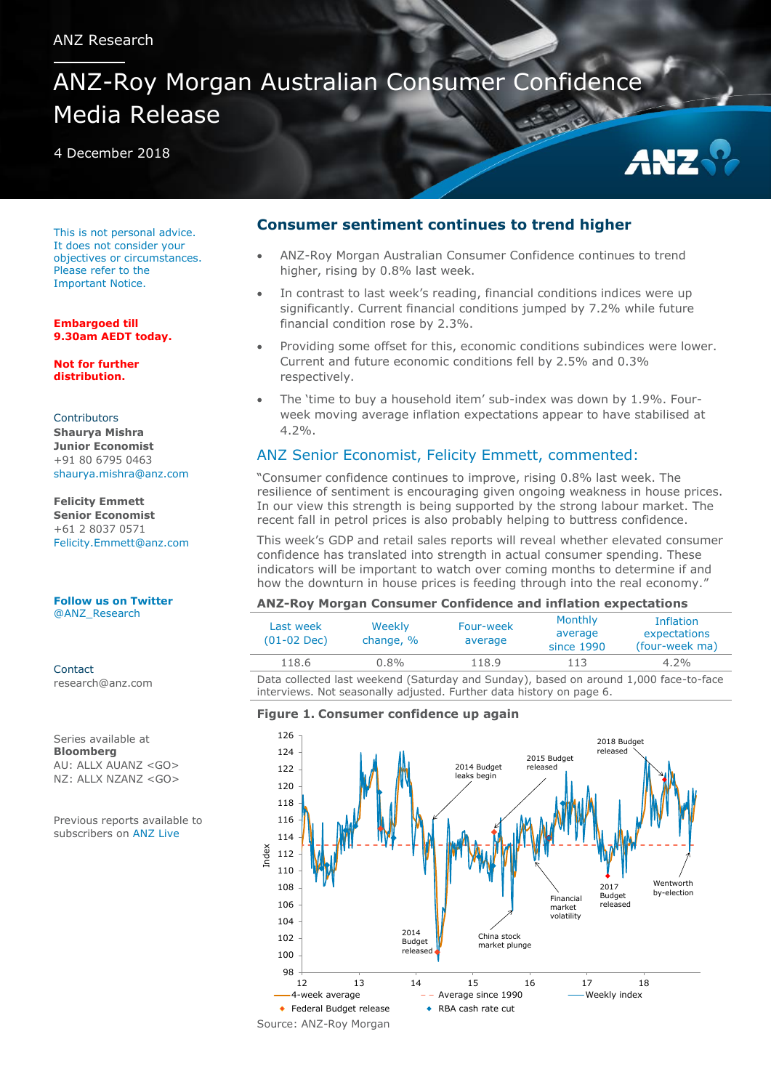# ANZ-Roy Morgan Australian Consumer Confidence Media Release

4 December 2018



This is not personal advice. It does not consider your objectives or circumstances. Please refer to the [Important Notice.](#page-6-0)

**Embargoed till 9.30am AEDT today.**

**Not for further distribution.**

**Contributors Shaurya Mishra Junior Economist** +91 80 6795 0463 [shaurya.mishra@anz.com](mailto:shaurya.mishra@anz.com) 

**Felicity Emmett Senior Economist** +61 2 8037 0571 Felicity.Emmett@anz.com

**[Follow us on Twitter](http://twitter.com/ANZ_Research)** [@ANZ\\_Research](http://twitter.com/ANZ_Research)

**Contact** research@anz.com

Series available at **Bloomberg** AU: ALLX AUANZ <GO> NZ: ALLX NZANZ <GO>

Previous reports available to subscribers on [ANZ Live](https://anzlive.secure.force.com/cms__Main?name=Publications&tags=Publications%2FANZ-Roy+Morgan+Consumer+Confidence)

### **Consumer sentiment continues to trend higher**

- ANZ-Roy Morgan Australian Consumer Confidence continues to trend higher, rising by 0.8% last week.
- In contrast to last week's reading, financial conditions indices were up significantly. Current financial conditions jumped by 7.2% while future financial condition rose by 2.3%.
- Providing some offset for this, economic conditions subindices were lower. Current and future economic conditions fell by 2.5% and 0.3% respectively.
- The 'time to buy a household item' sub-index was down by 1.9%. Fourweek moving average inflation expectations appear to have stabilised at 4.2%.

# ANZ Senior Economist, Felicity Emmett, commented:

"Consumer confidence continues to improve, rising 0.8% last week. The resilience of sentiment is encouraging given ongoing weakness in house prices. In our view this strength is being supported by the strong labour market. The recent fall in petrol prices is also probably helping to buttress confidence.

This week's GDP and retail sales reports will reveal whether elevated consumer confidence has translated into strength in actual consumer spending. These indicators will be important to watch over coming months to determine if and how the downturn in house prices is feeding through into the real economy."

#### **ANZ-Roy Morgan Consumer Confidence and inflation expectations**

| Last week<br>$(01-02 \text{ Dec})$                                                                                                                            | Weekly<br>change, % | Four-week<br>average | Monthly<br>average<br>since 1990 | <b>Inflation</b><br>expectations<br>(four-week ma) |  |  |  |  |  |
|---------------------------------------------------------------------------------------------------------------------------------------------------------------|---------------------|----------------------|----------------------------------|----------------------------------------------------|--|--|--|--|--|
| 118.6                                                                                                                                                         | $0.8\%$             | 118.9                | 113                              | $4.2\%$                                            |  |  |  |  |  |
| Data collected last weekend (Saturday and Sunday), based on around 1,000 face-to-face<br>interviews. Not seasonally adjusted. Further data history on page 6. |                     |                      |                                  |                                                    |  |  |  |  |  |

#### **Figure 1. Consumer confidence up again**

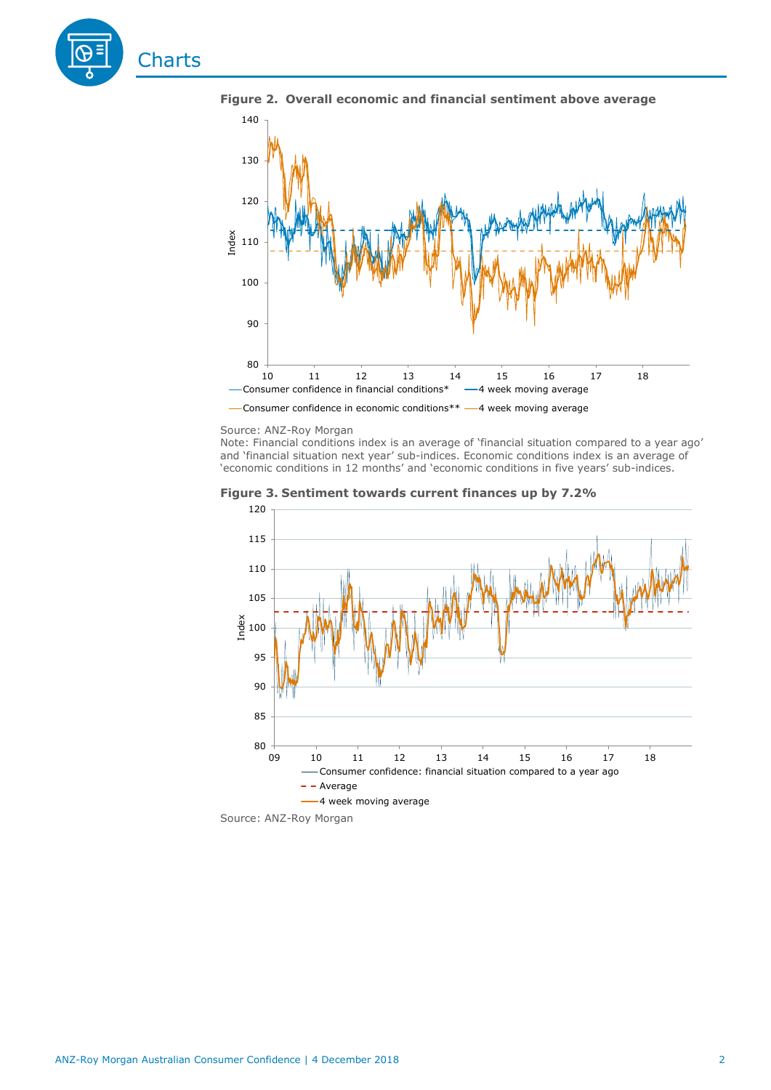



**Figure 2. Overall economic and financial sentiment above average**

#### Source: ANZ-Roy Morgan

Note: Financial conditions index is an average of 'financial situation compared to a year ago' and 'financial situation next year' sub-indices. Economic conditions index is an average of 'economic conditions in 12 months' and 'economic conditions in five years' sub-indices.





Source: ANZ-Roy Morgan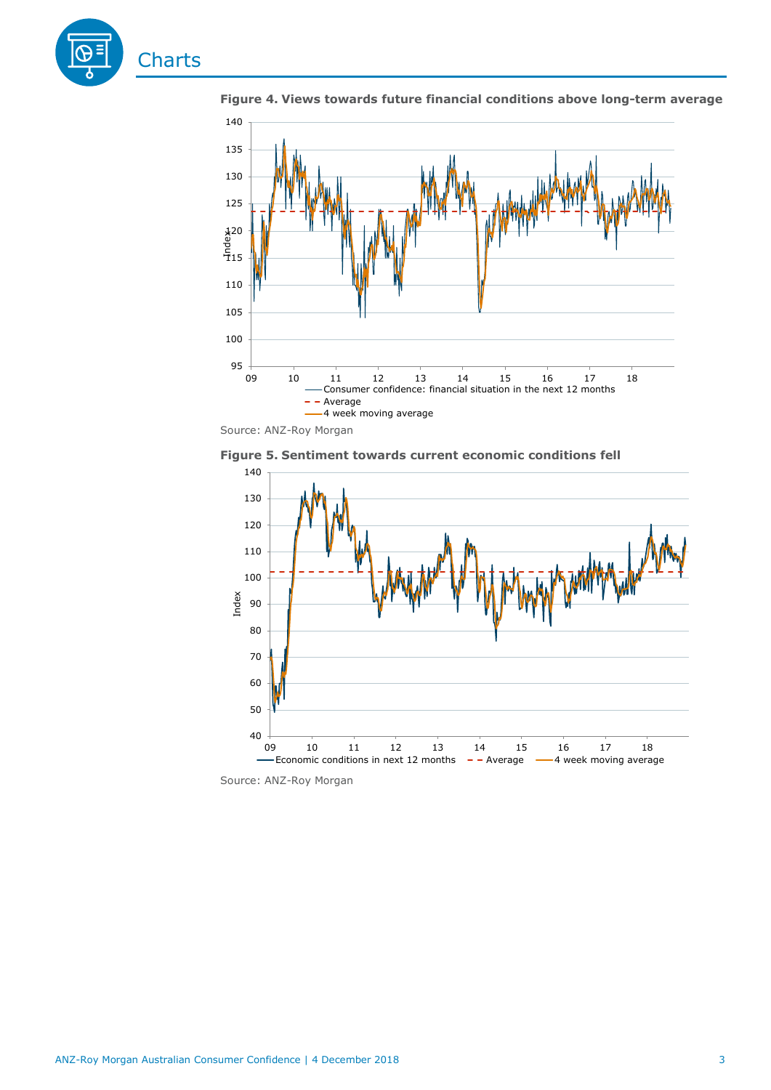



**Figure 4. Views towards future financial conditions above long-term average**

Source: ANZ-Roy Morgan





Source: ANZ-Roy Morgan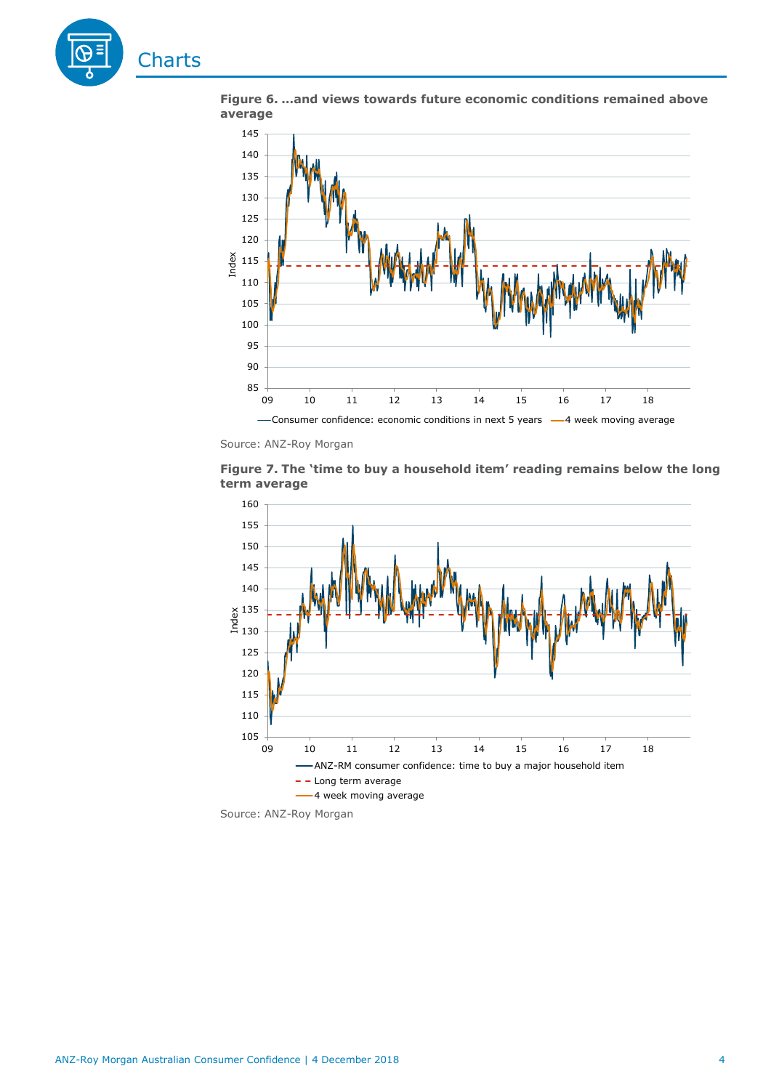

**Figure 6. …and views towards future economic conditions remained above average**



Source: ANZ-Roy Morgan





Source: ANZ-Roy Morgan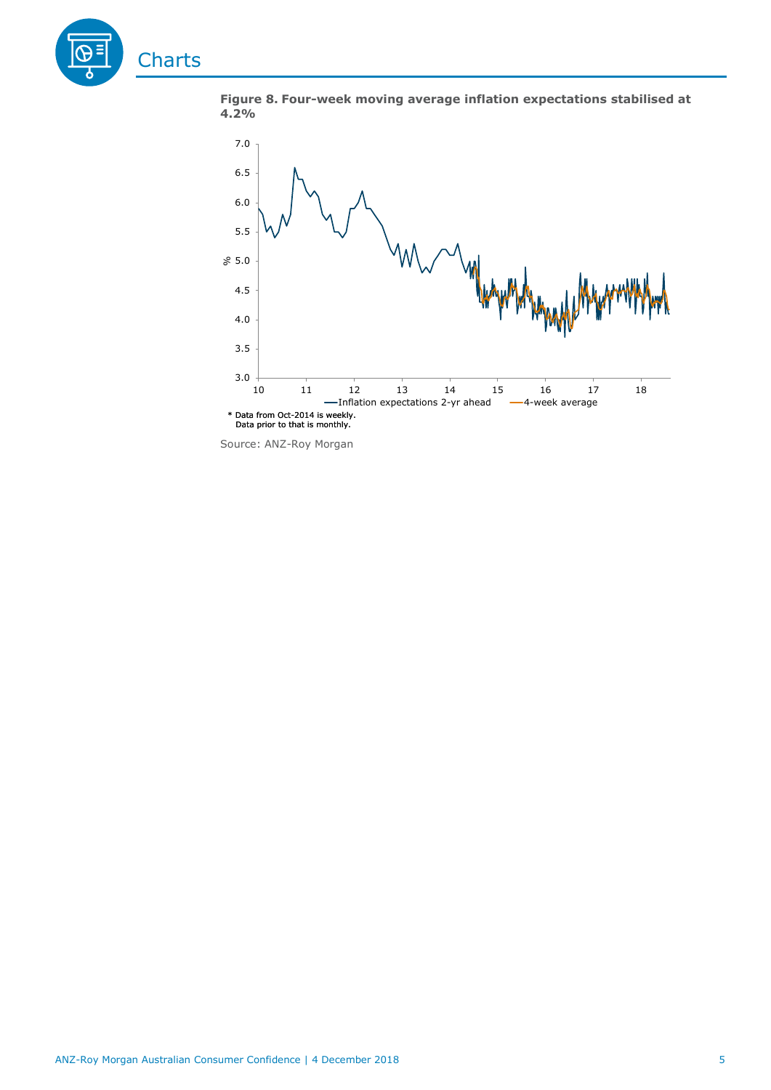





Source: ANZ-Roy Morgan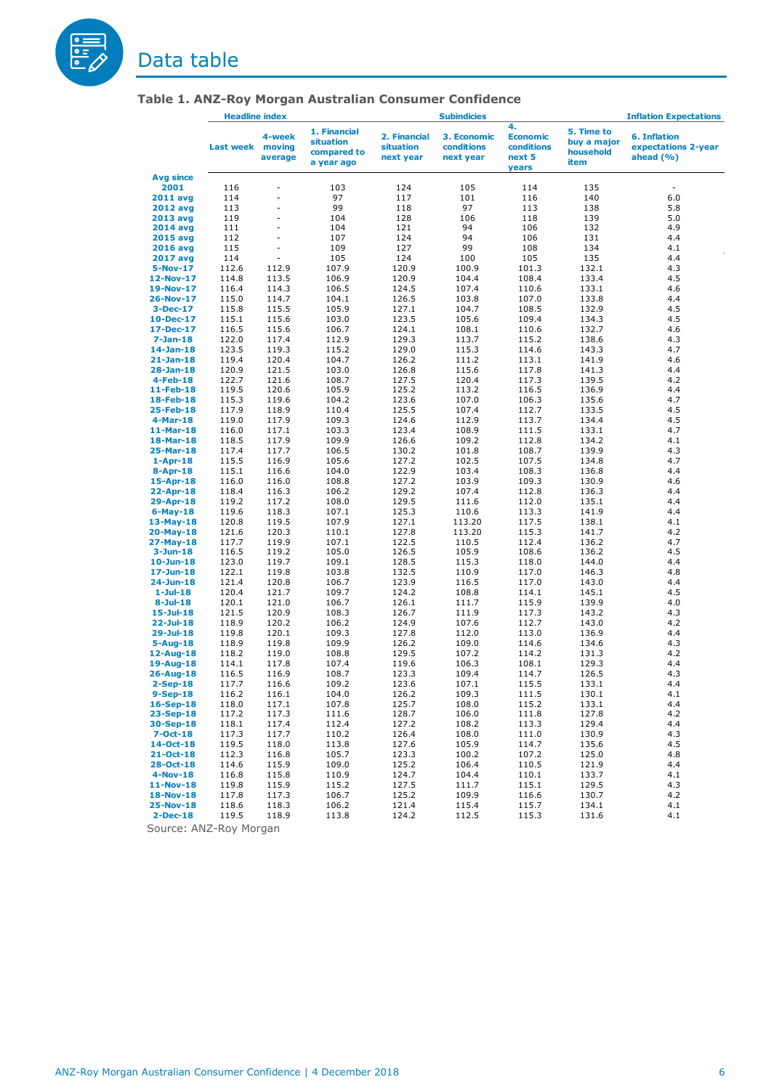

# <span id="page-5-0"></span>Data table

|                             | <b>Headline index</b> |                                |                                                               | <b>Subindicies</b>                     |                                        |                                                        | <b>Inflation Expectations</b>                  |                                                            |  |
|-----------------------------|-----------------------|--------------------------------|---------------------------------------------------------------|----------------------------------------|----------------------------------------|--------------------------------------------------------|------------------------------------------------|------------------------------------------------------------|--|
|                             | <b>Last week</b>      | 4-week<br>moving<br>average    | 1. Financial<br><b>situation</b><br>compared to<br>a year ago | 2. Financial<br>situation<br>next year | 3. Economic<br>conditions<br>next year | 4.<br><b>Economic</b><br>conditions<br>next 5<br>years | 5. Time to<br>buy a major<br>household<br>item | <b>6. Inflation</b><br>expectations 2-year<br>ahead $(% )$ |  |
| <b>Avg since</b>            |                       |                                |                                                               |                                        |                                        |                                                        |                                                |                                                            |  |
| 2001                        | 116                   |                                | 103                                                           | 124                                    | 105                                    | 114                                                    | 135                                            | $\overline{\phantom{a}}$                                   |  |
| <b>2011 avg</b>             | 114                   | ÷,                             | 97                                                            | 117                                    | 101                                    | 116                                                    | 140                                            | 6.0                                                        |  |
| <b>2012 avg</b>             | 113                   | $\overline{a}$                 | 99                                                            | 118                                    | 97                                     | 113                                                    | 138                                            | 5.8                                                        |  |
| 2013 avg                    | 119                   | $\overline{a}$                 | 104                                                           | 128                                    | 106                                    | 118                                                    | 139                                            | 5.0                                                        |  |
| 2014 avg                    | 111                   | $\overline{\phantom{a}}$<br>ä, | 104                                                           | 121                                    | 94                                     | 106                                                    | 132                                            | 4.9                                                        |  |
| <b>2015 avg</b>             | 112                   | $\overline{\phantom{a}}$       | 107<br>109                                                    | 124<br>127                             | 94<br>99                               | 106<br>108                                             | 131<br>134                                     | 4.4                                                        |  |
| <b>2016 avg</b><br>2017 avg | 115<br>114            | $\overline{\phantom{a}}$       | 105                                                           | 124                                    | 100                                    | 105                                                    | 135                                            | 4.1<br>4.4                                                 |  |
| 5-Nov-17                    | 112.6                 | 112.9                          | 107.9                                                         | 120.9                                  | 100.9                                  | 101.3                                                  | 132.1                                          | 4.3                                                        |  |
| 12-Nov-17                   | 114.8                 | 113.5                          | 106.9                                                         | 120.9                                  | 104.4                                  | 108.4                                                  | 133.4                                          | 4.5                                                        |  |
| 19-Nov-17                   | 116.4                 | 114.3                          | 106.5                                                         | 124.5                                  | 107.4                                  | 110.6                                                  | 133.1                                          | 4.6                                                        |  |
| 26-Nov-17                   | 115.0                 | 114.7                          | 104.1                                                         | 126.5                                  | 103.8                                  | 107.0                                                  | 133.8                                          | 4.4                                                        |  |
| $3-Dec-17$                  | 115.8                 | 115.5                          | 105.9                                                         | 127.1                                  | 104.7                                  | 108.5                                                  | 132.9                                          | 4.5                                                        |  |
| 10-Dec-17                   | 115.1                 | 115.6                          | 103.0                                                         | 123.5                                  | 105.6                                  | 109.4                                                  | 134.3                                          | 4.5                                                        |  |
| 17-Dec-17                   | 116.5                 | 115.6                          | 106.7                                                         | 124.1                                  | 108.1                                  | 110.6                                                  | 132.7                                          | 4.6                                                        |  |
| $7 - Jan-18$                | 122.0                 | 117.4                          | 112.9                                                         | 129.3                                  | 113.7                                  | 115.2                                                  | 138.6                                          | 4.3                                                        |  |
| $14$ -Jan-18                | 123.5                 | 119.3                          | 115.2                                                         | 129.0                                  | 115.3                                  | 114.6                                                  | 143.3                                          | 4.7                                                        |  |
| $21 - Jan-18$               | 119.4                 | 120.4                          | 104.7                                                         | 126.2                                  | 111.2                                  | 113.1                                                  | 141.9                                          | 4.6                                                        |  |
| $28 - Jan-18$               | 120.9                 | 121.5                          | 103.0                                                         | 126.8                                  | 115.6                                  | 117.8                                                  | 141.3                                          | 4.4                                                        |  |
| $4$ -Feb-18                 | 122.7                 | 121.6                          | 108.7                                                         | 127.5                                  | 120.4                                  | 117.3                                                  | 139.5                                          | 4.2                                                        |  |
| 11-Feb-18                   | 119.5                 | 120.6                          | 105.9                                                         | 125.2                                  | 113.2                                  | 116.5                                                  | 136.9                                          | 4.4<br>4.7                                                 |  |
| 18-Feb-18<br>25-Feb-18      | 115.3<br>117.9        | 119.6<br>118.9                 | 104.2<br>110.4                                                | 123.6<br>125.5                         | 107.0<br>107.4                         | 106.3<br>112.7                                         | 135.6<br>133.5                                 | 4.5                                                        |  |
| $4-Mar-18$                  | 119.0                 | 117.9                          | 109.3                                                         | 124.6                                  | 112.9                                  | 113.7                                                  | 134.4                                          | 4.5                                                        |  |
| 11-Mar-18                   | 116.0                 | 117.1                          | 103.3                                                         | 123.4                                  | 108.9                                  | 111.5                                                  | 133.1                                          | 4.7                                                        |  |
| 18-Mar-18                   | 118.5                 | 117.9                          | 109.9                                                         | 126.6                                  | 109.2                                  | 112.8                                                  | 134.2                                          | 4.1                                                        |  |
| 25-Mar-18                   | 117.4                 | 117.7                          | 106.5                                                         | 130.2                                  | 101.8                                  | 108.7                                                  | 139.9                                          | 4.3                                                        |  |
| $1-Apr-18$                  | 115.5                 | 116.9                          | 105.6                                                         | 127.2                                  | 102.5                                  | 107.5                                                  | 134.8                                          | 4.7                                                        |  |
| 8-Apr-18                    | 115.1                 | 116.6                          | 104.0                                                         | 122.9                                  | 103.4                                  | 108.3                                                  | 136.8                                          | 4.4                                                        |  |
| 15-Apr-18                   | 116.0                 | 116.0                          | 108.8                                                         | 127.2                                  | 103.9                                  | 109.3                                                  | 130.9                                          | 4.6                                                        |  |
| 22-Apr-18                   | 118.4                 | 116.3                          | 106.2                                                         | 129.2                                  | 107.4                                  | 112.8                                                  | 136.3                                          | 4.4                                                        |  |
| 29-Apr-18                   | 119.2                 | 117.2                          | 108.0                                                         | 129.5                                  | 111.6                                  | 112.0                                                  | 135.1                                          | 4.4                                                        |  |
| $6$ -May-18                 | 119.6                 | 118.3                          | 107.1                                                         | 125.3                                  | 110.6                                  | 113.3                                                  | 141.9                                          | 4.4                                                        |  |
| $13-May-18$                 | 120.8<br>121.6        | 119.5<br>120.3                 | 107.9<br>110.1                                                | 127.1<br>127.8                         | 113.20<br>113.20                       | 117.5<br>115.3                                         | 138.1<br>141.7                                 | 4.1<br>4.2                                                 |  |
| $20$ -May-18<br>27-May-18   | 117.7                 | 119.9                          | 107.1                                                         | 122.5                                  | 110.5                                  | 112.4                                                  | 136.2                                          | 4.7                                                        |  |
| $3 - Jun-18$                | 116.5                 | 119.2                          | 105.0                                                         | 126.5                                  | 105.9                                  | 108.6                                                  | 136.2                                          | 4.5                                                        |  |
| $10 - Jun-18$               | 123.0                 | 119.7                          | 109.1                                                         | 128.5                                  | 115.3                                  | 118.0                                                  | 144.0                                          | 4.4                                                        |  |
| $17 - Jun-18$               | 122.1                 | 119.8                          | 103.8                                                         | 132.5                                  | 110.9                                  | 117.0                                                  | 146.3                                          | 4.8                                                        |  |
| 24-Jun-18                   | 121.4                 | 120.8                          | 106.7                                                         | 123.9                                  | 116.5                                  | 117.0                                                  | 143.0                                          | 4.4                                                        |  |
| $1-Ju-18$                   | 120.4                 | 121.7                          | 109.7                                                         | 124.2                                  | 108.8                                  | 114.1                                                  | 145.1                                          | 4.5                                                        |  |
| $8 -$ Jul-18                | 120.1                 | 121.0                          | 106.7                                                         | 126.1                                  | 111.7                                  | 115.9                                                  | 139.9                                          | 4.0                                                        |  |
| 15-Jul-18                   | 121.5                 | 120.9                          | 108.3                                                         | 126.7                                  | 111.9                                  | 117.3                                                  | 143.2                                          | 4.3                                                        |  |
| $22 -$ Jul-18               | 118.9                 | 120.2                          | 106.2                                                         | 124.9                                  | 107.6                                  | 112.7                                                  | 143.0                                          | 4.2                                                        |  |
| $29 -$ Jul-18               | 119.8                 | 120.1                          | 109.3                                                         | 127.8                                  | 112.0                                  | 113.0                                                  | 136.9                                          | 4.4                                                        |  |
| $5 - Aug-18$<br>12-Aug-18   | 118.9<br>118.2        | 119.8<br>119.0                 | 109.9<br>108.8                                                | 126.2<br>129.5                         | 109.0<br>107.2                         | 114.6<br>114.2                                         | 134.6<br>131.3                                 | 4.3<br>4.2                                                 |  |
| 19-Aug-18                   | 114.1                 | 117.8                          | 107.4                                                         | 119.6                                  | 106.3                                  | 108.1                                                  | 129.3                                          | 4.4                                                        |  |
| 26-Aug-18                   | 116.5                 | 116.9                          | 108.7                                                         | 123.3                                  | 109.4                                  | 114.7                                                  | 126.5                                          | 4.3                                                        |  |
| $2-Sep-18$                  | 117.7                 | 116.6                          | 109.2                                                         | 123.6                                  | 107.1                                  | 115.5                                                  | 133.1                                          | 4.4                                                        |  |
| $9-Sep-18$                  | 116.2                 | 116.1                          | 104.0                                                         | 126.2                                  | 109.3                                  | 111.5                                                  | 130.1                                          | 4.1                                                        |  |
| 16-Sep-18                   | 118.0                 | 117.1                          | 107.8                                                         | 125.7                                  | 108.0                                  | 115.2                                                  | 133.1                                          | 4.4                                                        |  |
| 23-Sep-18                   | 117.2                 | 117.3                          | 111.6                                                         | 128.7                                  | 106.0                                  | 111.8                                                  | 127.8                                          | 4.2                                                        |  |
| 30-Sep-18                   | 118.1                 | 117.4                          | 112.4                                                         | 127.2                                  | 108.2                                  | 113.3                                                  | 129.4                                          | 4.4                                                        |  |
| 7-Oct-18                    | 117.3                 | 117.7                          | 110.2                                                         | 126.4                                  | 108.0                                  | 111.0                                                  | 130.9                                          | 4.3                                                        |  |
| $14 - Oct - 18$             | 119.5                 | 118.0                          | 113.8                                                         | 127.6                                  | 105.9                                  | 114.7                                                  | 135.6                                          | 4.5                                                        |  |
| $21 - Oct - 18$             | 112.3                 | 116.8                          | 105.7                                                         | 123.3                                  | 100.2                                  | 107.2                                                  | 125.0                                          | 4.8                                                        |  |
| $28 - Oct - 18$             | 114.6                 | 115.9                          | 109.0                                                         | 125.2                                  | 106.4                                  | 110.5                                                  | 121.9                                          | 4.4                                                        |  |
| $4-Nov-18$<br>11-Nov-18     | 116.8<br>119.8        | 115.8<br>115.9                 | 110.9<br>115.2                                                | 124.7<br>127.5                         | 104.4<br>111.7                         | 110.1<br>115.1                                         | 133.7<br>129.5                                 | 4.1<br>4.3                                                 |  |
| 18-Nov-18                   | 117.8                 | 117.3                          | 106.7                                                         | 125.2                                  | 109.9                                  | 116.6                                                  | 130.7                                          | 4.2                                                        |  |
| 25-Nov-18                   | 118.6                 | 118.3                          | 106.2                                                         | 121.4                                  | 115.4                                  | 115.7                                                  | 134.1                                          | 4.1                                                        |  |
| $2$ -Dec-18                 | 119.5                 | 118.9                          | 113.8                                                         | 124.2                                  | 112.5                                  | 115.3                                                  | 131.6                                          | 4.1                                                        |  |

# **Table 1. ANZ-Roy Morgan Australian Consumer Confidence**

Source: ANZ-Roy Morgan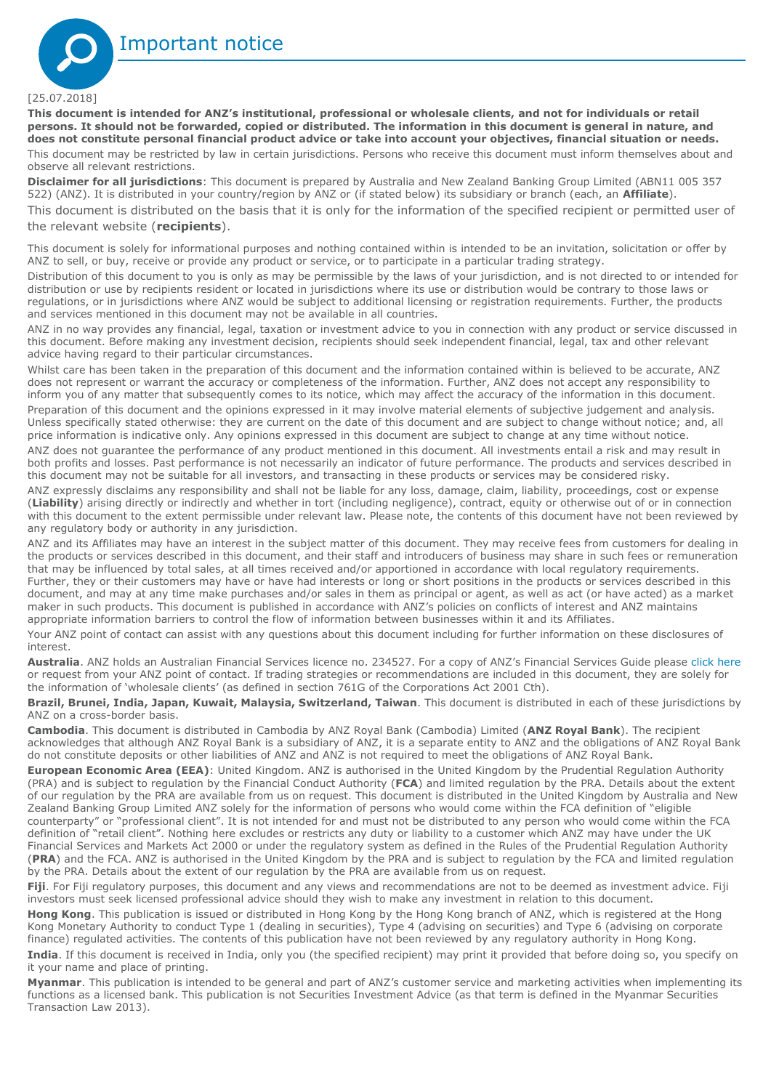<span id="page-6-0"></span>

#### [25.07.2018]

**This document is intended for ANZ's institutional, professional or wholesale clients, and not for individuals or retail persons. It should not be forwarded, copied or distributed. The information in this document is general in nature, and does not constitute personal financial product advice or take into account your objectives, financial situation or needs.** 

This document may be restricted by law in certain jurisdictions. Persons who receive this document must inform themselves about and observe all relevant restrictions.

**Disclaimer for all jurisdictions**: This document is prepared by Australia and New Zealand Banking Group Limited (ABN11 005 357 522) (ANZ). It is distributed in your country/region by ANZ or (if stated below) its subsidiary or branch (each, an **Affiliate**).

This document is distributed on the basis that it is only for the information of the specified recipient or permitted user of the relevant website (**recipients**).

This document is solely for informational purposes and nothing contained within is intended to be an invitation, solicitation or offer by ANZ to sell, or buy, receive or provide any product or service, or to participate in a particular trading strategy.

Distribution of this document to you is only as may be permissible by the laws of your jurisdiction, and is not directed to or intended for distribution or use by recipients resident or located in jurisdictions where its use or distribution would be contrary to those laws or regulations, or in jurisdictions where ANZ would be subject to additional licensing or registration requirements. Further, the products and services mentioned in this document may not be available in all countries.

ANZ in no way provides any financial, legal, taxation or investment advice to you in connection with any product or service discussed in this document. Before making any investment decision, recipients should seek independent financial, legal, tax and other relevant advice having regard to their particular circumstances.

Whilst care has been taken in the preparation of this document and the information contained within is believed to be accurate, ANZ does not represent or warrant the accuracy or completeness of the information. Further, ANZ does not accept any responsibility to inform you of any matter that subsequently comes to its notice, which may affect the accuracy of the information in this document. Preparation of this document and the opinions expressed in it may involve material elements of subjective judgement and analysis. Unless specifically stated otherwise: they are current on the date of this document and are subject to change without notice; and, all price information is indicative only. Any opinions expressed in this document are subject to change at any time without notice.

ANZ does not guarantee the performance of any product mentioned in this document. All investments entail a risk and may result in both profits and losses. Past performance is not necessarily an indicator of future performance. The products and services described in this document may not be suitable for all investors, and transacting in these products or services may be considered risky.

ANZ expressly disclaims any responsibility and shall not be liable for any loss, damage, claim, liability, proceedings, cost or expense (**Liability**) arising directly or indirectly and whether in tort (including negligence), contract, equity or otherwise out of or in connection with this document to the extent permissible under relevant law. Please note, the contents of this document have not been reviewed by any regulatory body or authority in any jurisdiction.

ANZ and its Affiliates may have an interest in the subject matter of this document. They may receive fees from customers for dealing in the products or services described in this document, and their staff and introducers of business may share in such fees or remuneration that may be influenced by total sales, at all times received and/or apportioned in accordance with local regulatory requirements. Further, they or their customers may have or have had interests or long or short positions in the products or services described in this document, and may at any time make purchases and/or sales in them as principal or agent, as well as act (or have acted) as a market maker in such products. This document is published in accordance with ANZ's policies on conflicts of interest and ANZ maintains appropriate information barriers to control the flow of information between businesses within it and its Affiliates.

Your ANZ point of contact can assist with any questions about this document including for further information on these disclosures of interest.

**Australia**. ANZ holds an Australian Financial Services licence no. 234527. For a copy of ANZ's Financial Services Guide please [click here](http://www.anz.com/documents/AU/aboutANZ/FinancialServicesGuide.pdf)  or request from your ANZ point of contact. If trading strategies or recommendations are included in this document, they are solely for the information of 'wholesale clients' (as defined in section 761G of the Corporations Act 2001 Cth).

**Brazil, Brunei, India, Japan, Kuwait, Malaysia, Switzerland, Taiwan**. This document is distributed in each of these jurisdictions by ANZ on a cross-border basis.

**Cambodia**. This document is distributed in Cambodia by ANZ Royal Bank (Cambodia) Limited (**ANZ Royal Bank**). The recipient acknowledges that although ANZ Royal Bank is a subsidiary of ANZ, it is a separate entity to ANZ and the obligations of ANZ Royal Bank do not constitute deposits or other liabilities of ANZ and ANZ is not required to meet the obligations of ANZ Royal Bank.

**European Economic Area (EEA)**: United Kingdom. ANZ is authorised in the United Kingdom by the Prudential Regulation Authority (PRA) and is subject to regulation by the Financial Conduct Authority (**FCA**) and limited regulation by the PRA. Details about the extent of our regulation by the PRA are available from us on request. This document is distributed in the United Kingdom by Australia and New Zealand Banking Group Limited ANZ solely for the information of persons who would come within the FCA definition of "eligible counterparty" or "professional client". It is not intended for and must not be distributed to any person who would come within the FCA definition of "retail client". Nothing here excludes or restricts any duty or liability to a customer which ANZ may have under the UK Financial Services and Markets Act 2000 or under the regulatory system as defined in the Rules of the Prudential Regulation Authority (**PRA**) and the FCA. ANZ is authorised in the United Kingdom by the PRA and is subject to regulation by the FCA and limited regulation by the PRA. Details about the extent of our regulation by the PRA are available from us on request.

**Fiji**. For Fiji regulatory purposes, this document and any views and recommendations are not to be deemed as investment advice. Fiji investors must seek licensed professional advice should they wish to make any investment in relation to this document.

**Hong Kong**. This publication is issued or distributed in Hong Kong by the Hong Kong branch of ANZ, which is registered at the Hong Kong Monetary Authority to conduct Type 1 (dealing in securities), Type 4 (advising on securities) and Type 6 (advising on corporate finance) regulated activities. The contents of this publication have not been reviewed by any regulatory authority in Hong Kong.

**India**. If this document is received in India, only you (the specified recipient) may print it provided that before doing so, you specify on it your name and place of printing.

**Myanmar**. This publication is intended to be general and part of ANZ's customer service and marketing activities when implementing its functions as a licensed bank. This publication is not Securities Investment Advice (as that term is defined in the Myanmar Securities Transaction Law 2013).